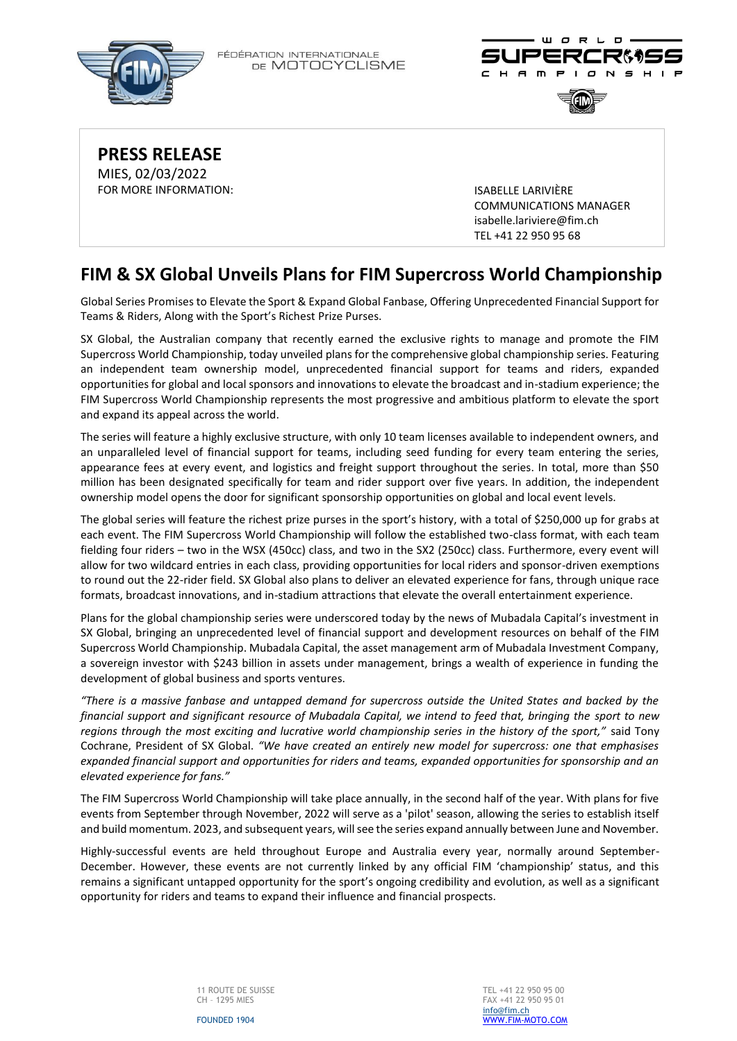FÉDÉRATION INTERNATIONALE DE MOTOCYCLISME







**PRESS RELEASE** MIES, 02/03/2022 FOR MORE INFORMATION: ISABELLE LARIVIÈRE

COMMUNICATIONS MANAGER [isabelle.lariviere@fim.ch](mailto:isabelle.lariviere@fim.ch) TEL +41 22 950 95 68

## **FIM & SX Global Unveils Plans for FIM Supercross World Championship**

Global Series Promises to Elevate the Sport & Expand Global Fanbase, Offering Unprecedented Financial Support for Teams & Riders, Along with the Sport's Richest Prize Purses.

SX Global, the Australian company that recently earned the exclusive rights to manage and promote the FIM Supercross World Championship, today unveiled plans for the comprehensive global championship series. Featuring an independent team ownership model, unprecedented financial support for teams and riders, expanded opportunities for global and local sponsors and innovations to elevate the broadcast and in-stadium experience; the FIM Supercross World Championship represents the most progressive and ambitious platform to elevate the sport and expand its appeal across the world.

The series will feature a highly exclusive structure, with only 10 team licenses available to independent owners, and an unparalleled level of financial support for teams, including seed funding for every team entering the series, appearance fees at every event, and logistics and freight support throughout the series. In total, more than \$50 million has been designated specifically for team and rider support over five years. In addition, the independent ownership model opens the door for significant sponsorship opportunities on global and local event levels.

The global series will feature the richest prize purses in the sport's history, with a total of \$250,000 up for grabs at each event. The FIM Supercross World Championship will follow the established two-class format, with each team fielding four riders – two in the WSX (450cc) class, and two in the SX2 (250cc) class. Furthermore, every event will allow for two wildcard entries in each class, providing opportunities for local riders and sponsor-driven exemptions to round out the 22-rider field. SX Global also plans to deliver an elevated experience for fans, through unique race formats, broadcast innovations, and in-stadium attractions that elevate the overall entertainment experience.

Plans for the global championship series were underscored today by the news of Mubadala Capital's investment in SX Global, bringing an unprecedented level of financial support and development resources on behalf of the FIM Supercross World Championship. Mubadala Capital, the asset management arm of Mubadala Investment Company, a sovereign investor with \$243 billion in assets under management, brings a wealth of experience in funding the development of global business and sports ventures.

*"There is a massive fanbase and untapped demand for supercross outside the United States and backed by the financial support and significant resource of Mubadala Capital, we intend to feed that, bringing the sport to new regions through the most exciting and lucrative world championship series in the history of the sport,"* said Tony Cochrane, President of SX Global. *"We have created an entirely new model for supercross: one that emphasises expanded financial support and opportunities for riders and teams, expanded opportunities for sponsorship and an elevated experience for fans."*

The FIM Supercross World Championship will take place annually, in the second half of the year. With plans for five events from September through November, 2022 will serve as a 'pilot' season, allowing the series to establish itself and build momentum. 2023, and subsequent years, will see the series expand annually between June and November.

Highly-successful events are held throughout Europe and Australia every year, normally around September-December. However, these events are not currently linked by any official FIM 'championship' status, and this remains a significant untapped opportunity for the sport's ongoing credibility and evolution, as well as a significant opportunity for riders and teams to expand their influence and financial prospects.

FOUNDED 1904